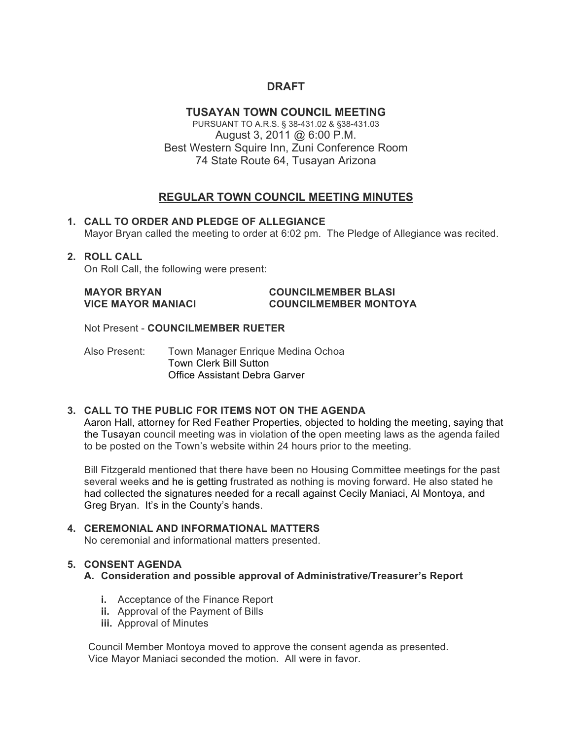# **DRAFT**

#### **TUSAYAN TOWN COUNCIL MEETING**

PURSUANT TO A.R.S. § 38-431.02 & §38-431.03 August 3, 2011 @ 6:00 P.M. Best Western Squire Inn, Zuni Conference Room 74 State Route 64, Tusayan Arizona

## **REGULAR TOWN COUNCIL MEETING MINUTES**

**1. CALL TO ORDER AND PLEDGE OF ALLEGIANCE** Mayor Bryan called the meeting to order at 6:02 pm. The Pledge of Allegiance was recited.

### **2. ROLL CALL**

On Roll Call, the following were present:

#### **MAYOR BRYAN COUNCILMEMBER BLASI VICE MAYOR MANIACI COUNCILMEMBER MONTOYA**

Not Present - **COUNCILMEMBER RUETER** 

Also Present: Town Manager Enrique Medina Ochoa Town Clerk Bill Sutton Office Assistant Debra Garver

#### **3. CALL TO THE PUBLIC FOR ITEMS NOT ON THE AGENDA**

Aaron Hall, attorney for Red Feather Properties, objected to holding the meeting, saying that the Tusayan council meeting was in violation of the open meeting laws as the agenda failed to be posted on the Town's website within 24 hours prior to the meeting.

Bill Fitzgerald mentioned that there have been no Housing Committee meetings for the past several weeks and he is getting frustrated as nothing is moving forward. He also stated he had collected the signatures needed for a recall against Cecily Maniaci, Al Montoya, and Greg Bryan. It's in the County's hands.

# **4. CEREMONIAL AND INFORMATIONAL MATTERS**

No ceremonial and informational matters presented.

#### **5. CONSENT AGENDA**

#### **A. Consideration and possible approval of Administrative/Treasurer's Report**

- **i.** Acceptance of the Finance Report
- **ii.** Approval of the Payment of Bills
- **iii.** Approval of Minutes

Council Member Montoya moved to approve the consent agenda as presented. Vice Mayor Maniaci seconded the motion. All were in favor.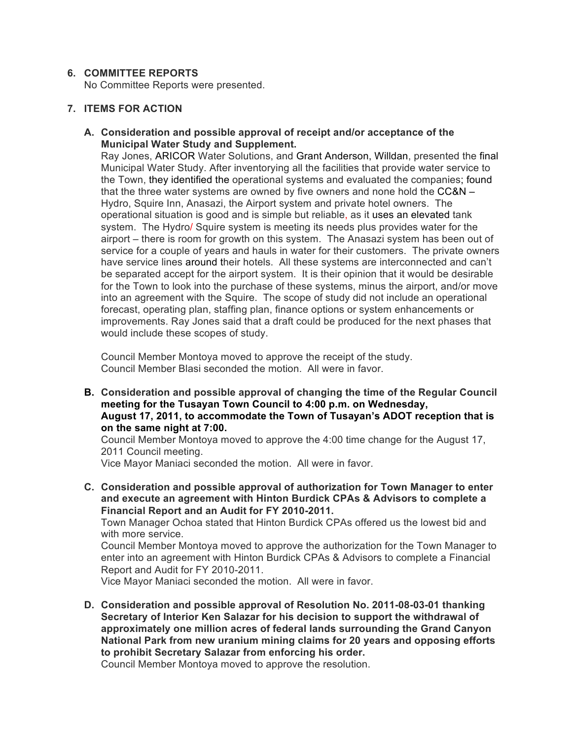#### **6. COMMITTEE REPORTS**

No Committee Reports were presented.

#### **7. ITEMS FOR ACTION**

**A. Consideration and possible approval of receipt and/or acceptance of the Municipal Water Study and Supplement.**

Ray Jones, ARICOR Water Solutions, and Grant Anderson, Willdan, presented the final Municipal Water Study. After inventorying all the facilities that provide water service to the Town, they identified the operational systems and evaluated the companies; found that the three water systems are owned by five owners and none hold the  $CC&N-$ Hydro, Squire Inn, Anasazi, the Airport system and private hotel owners. The operational situation is good and is simple but reliable, as it uses an elevated tank system. The Hydro/ Squire system is meeting its needs plus provides water for the airport – there is room for growth on this system. The Anasazi system has been out of service for a couple of years and hauls in water for their customers. The private owners have service lines around their hotels. All these systems are interconnected and can't be separated accept for the airport system. It is their opinion that it would be desirable for the Town to look into the purchase of these systems, minus the airport, and/or move into an agreement with the Squire. The scope of study did not include an operational forecast, operating plan, staffing plan, finance options or system enhancements or improvements. Ray Jones said that a draft could be produced for the next phases that would include these scopes of study.

Council Member Montoya moved to approve the receipt of the study. Council Member Blasi seconded the motion. All were in favor.

**B. Consideration and possible approval of changing the time of the Regular Council meeting for the Tusayan Town Council to 4:00 p.m. on Wednesday, August 17, 2011, to accommodate the Town of Tusayan's ADOT reception that is on the same night at 7:00.**

Council Member Montoya moved to approve the 4:00 time change for the August 17, 2011 Council meeting.

Vice Mayor Maniaci seconded the motion. All were in favor.

**C. Consideration and possible approval of authorization for Town Manager to enter and execute an agreement with Hinton Burdick CPAs & Advisors to complete a Financial Report and an Audit for FY 2010-2011.**

Town Manager Ochoa stated that Hinton Burdick CPAs offered us the lowest bid and with more service.

Council Member Montoya moved to approve the authorization for the Town Manager to enter into an agreement with Hinton Burdick CPAs & Advisors to complete a Financial Report and Audit for FY 2010-2011.

Vice Mayor Maniaci seconded the motion. All were in favor.

**D. Consideration and possible approval of Resolution No. 2011-08-03-01 thanking Secretary of Interior Ken Salazar for his decision to support the withdrawal of approximately one million acres of federal lands surrounding the Grand Canyon National Park from new uranium mining claims for 20 years and opposing efforts to prohibit Secretary Salazar from enforcing his order.**

Council Member Montoya moved to approve the resolution.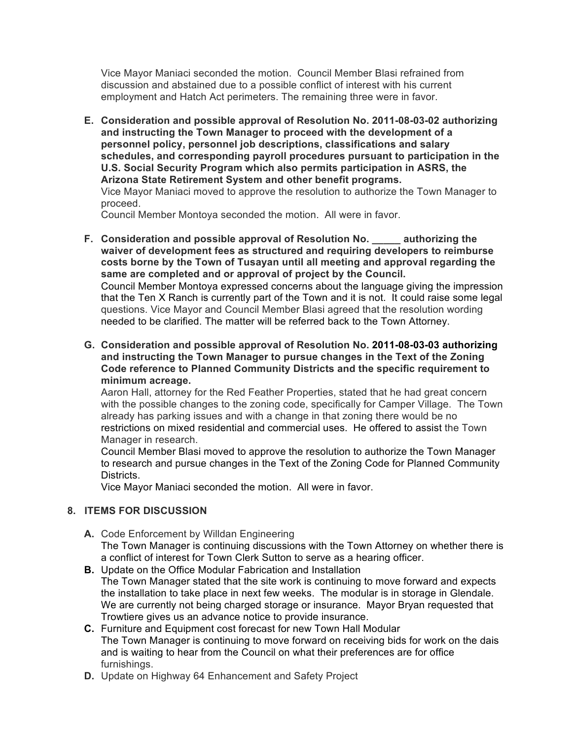Vice Mayor Maniaci seconded the motion. Council Member Blasi refrained from discussion and abstained due to a possible conflict of interest with his current employment and Hatch Act perimeters. The remaining three were in favor.

**E. Consideration and possible approval of Resolution No. 2011-08-03-02 authorizing and instructing the Town Manager to proceed with the development of a personnel policy, personnel job descriptions, classifications and salary schedules, and corresponding payroll procedures pursuant to participation in the U.S. Social Security Program which also permits participation in ASRS, the Arizona State Retirement System and other benefit programs.** Vice Mayor Maniaci moved to approve the resolution to authorize the Town Manager to proceed.

Council Member Montoya seconded the motion. All were in favor.

- **F. Consideration and possible approval of Resolution No. \_\_\_\_\_ authorizing the waiver of development fees as structured and requiring developers to reimburse costs borne by the Town of Tusayan until all meeting and approval regarding the same are completed and or approval of project by the Council.**  Council Member Montoya expressed concerns about the language giving the impression that the Ten X Ranch is currently part of the Town and it is not. It could raise some legal questions. Vice Mayor and Council Member Blasi agreed that the resolution wording needed to be clarified. The matter will be referred back to the Town Attorney.
- **G. Consideration and possible approval of Resolution No. 2011-08-03-03 authorizing and instructing the Town Manager to pursue changes in the Text of the Zoning Code reference to Planned Community Districts and the specific requirement to minimum acreage.**

Aaron Hall, attorney for the Red Feather Properties, stated that he had great concern with the possible changes to the zoning code, specifically for Camper Village. The Town already has parking issues and with a change in that zoning there would be no restrictions on mixed residential and commercial uses. He offered to assist the Town Manager in research.

Council Member Blasi moved to approve the resolution to authorize the Town Manager to research and pursue changes in the Text of the Zoning Code for Planned Community Districts.

Vice Mayor Maniaci seconded the motion. All were in favor.

#### **8. ITEMS FOR DISCUSSION**

- **A.** Code Enforcement by Willdan Engineering The Town Manager is continuing discussions with the Town Attorney on whether there is a conflict of interest for Town Clerk Sutton to serve as a hearing officer.
- **B.** Update on the Office Modular Fabrication and Installation The Town Manager stated that the site work is continuing to move forward and expects the installation to take place in next few weeks. The modular is in storage in Glendale. We are currently not being charged storage or insurance. Mayor Bryan requested that Trowtiere gives us an advance notice to provide insurance.
- **C.** Furniture and Equipment cost forecast for new Town Hall Modular The Town Manager is continuing to move forward on receiving bids for work on the dais and is waiting to hear from the Council on what their preferences are for office furnishings.
- **D.** Update on Highway 64 Enhancement and Safety Project